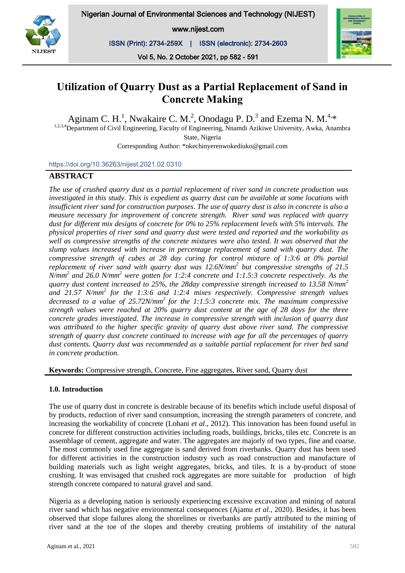www.nijest.com

ISSN (Print): 2734-259X | ISSN (electronic): 2734-2603



Vol 5, No. 2 October 2021, pp 582 - 591

# **Utilization of Quarry Dust as a Partial Replacement of Sand in Concrete Making**

Aginam C. H.<sup>1</sup>, Nwakaire C. M.<sup>2</sup>, Onodagu P. D.<sup>3</sup> and Ezema N. M.<sup>4,\*</sup>

<sup>1,2,3,4</sup>Department of Civil Engineering, Faculty of Engineering, Nnamdi Azikiwe University, Awka, Anambra State, Nigeria

Corresponding Author: \*nkechinyerenwokediuko@gmail.com

https://doi.org/10.36263/nijest.2021.02.0310

# **ABSTRACT**

*The use of crushed quarry dust as a partial replacement of river sand in concrete production was investigated in this study. This is expedient as quarry dust can be available at some locations with insufficient river sand for construction purposes. The use of quarry dust is also in concrete is also a measure necessary for improvement of concrete strength. River sand was replaced with quarry dust for different mix designs of concrete for 0% to 25% replacement levels with 5% intervals. The physical properties of river sand and quarry dust were tested and reported and the workability as well as compressive strengths of the concrete mixtures were also tested. It was observed that the slump values increased with increase in percentage replacement of sand with quarry dust. The compressive strength of cubes at 28 day curing for control mixture of 1:3:6 at 0% partial replacement of river sand with quarry dust was 12.6N/mm<sup>2</sup> but compressive strengths of 21.5 N/mm<sup>2</sup> and 26.0 N/mm<sup>2</sup> were gotten for 1:2:4 concrete and 1:1.5:3 concrete respectively. As the quarry dust content increased to 25%, the 28day compressive strength increased to 13.58 N/mm<sup>2</sup> and 21.57 N/mm<sup>2</sup> for the 1:3:6 and 1:2:4 mixes respectively. Compressive strength values decreased to a value of 25.72N/mm<sup>2</sup>for the 1:1.5:3 concrete mix. The maximum compressive strength values were reached at 20% quarry dust content at the age of 28 days for the three concrete grades investigated. The increase in compressive strength with inclusion of quarry dust was attributed to the higher specific gravity of quarry dust above river sand. The compressive strength of quarry dust concrete continued to increase with age for all the percentages of quarry dust contents. Quarry dust was recommended as a suitable partial replacement for river bed sand in concrete production.*

**Keywords:** Compressive strength, Concrete, Fine aggregates, River sand, Quarry dust

## **1.0. Introduction**

The use of quarry dust in concrete is desirable because of its benefits which include useful disposal of by products, reduction of river sand consumption, increasing the strength parameters of concrete, and increasing the workability of concrete (Lohani *et al*., 2012). This innovation has been found useful in concrete for different construction activities including roads, buildings, bricks, tiles etc. Concrete is an assemblage of cement, aggregate and water. The aggregates are majorly of two types, fine and coarse. The most commonly used fine aggregate is sand derived from riverbanks. Quarry dust has been used for different activities in the construction industry such as road construction and manufacture of building materials such as light weight aggregates, bricks, and tiles. It is a by-product of stone crushing. It was envisaged that crushed rock aggregates are more suitable for production of high strength concrete compared to natural gravel and sand.

Nigeria as a developing nation is seriously experiencing excessive excavation and mining of natural river sand which has negative environmental consequences (Ajamu *et al*., 2020). Besides, it has been observed that slope failures along the shorelines or riverbanks are partly attributed to the mining of river sand at the toe of the slopes and thereby creating problems of instability of the natural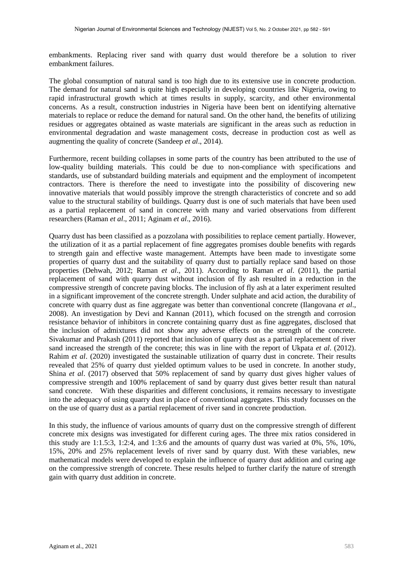embankments. Replacing river sand with quarry dust would therefore be a solution to river embankment failures.

The global consumption of natural sand is too high due to its extensive use in concrete production. The demand for natural sand is quite high especially in developing countries like Nigeria, owing to rapid infrastructural growth which at times results in supply, scarcity, and other environmental concerns. As a result, construction industries in Nigeria have been bent on identifying alternative materials to replace or reduce the demand for natural sand. On the other hand, the benefits of utilizing residues or aggregates obtained as waste materials are significant in the areas such as reduction in environmental degradation and waste management costs, decrease in production cost as well as augmenting the quality of concrete (Sandeep *et al*., 2014).

Furthermore, recent building collapses in some parts of the country has been attributed to the use of low-quality building materials. This could be due to non-compliance with specifications and standards, use of substandard building materials and equipment and the employment of incompetent contractors. There is therefore the need to investigate into the possibility of discovering new innovative materials that would possibly improve the strength characteristics of concrete and so add value to the structural stability of buildings. Quarry dust is one of such materials that have been used as a partial replacement of sand in concrete with many and varied observations from different researchers (Raman *et al*., 2011; Aginam *et al*., 2016).

Quarry dust has been classified as a pozzolana with possibilities to replace cement partially. However, the utilization of it as a partial replacement of fine aggregates promises double benefits with regards to strength gain and effective waste management. Attempts have been made to investigate some properties of quarry dust and the suitability of quarry dust to partially replace sand based on those properties (Dehwah, 2012; Raman *et al*., 2011). According to Raman *et al*. (2011), the partial replacement of sand with quarry dust without inclusion of fly ash resulted in a reduction in the compressive strength of concrete paving blocks. The inclusion of fly ash at a later experiment resulted in a significant improvement of the concrete strength. Under sulphate and acid action, the durability of concrete with quarry dust as fine aggregate was better than conventional concrete (Ilangovana *et al*., 2008). An investigation by Devi and Kannan (2011), which focused on the strength and corrosion resistance behavior of inhibitors in concrete containing quarry dust as fine aggregates, disclosed that the inclusion of admixtures did not show any adverse effects on the strength of the concrete. Sivakumar and Prakash (2011) reported that inclusion of quarry dust as a partial replacement of river sand increased the strength of the concrete; this was in line with the report of Ukpata *et al*. (2012). Rahim *et al*. (2020) investigated the sustainable utilization of quarry dust in concrete. Their results revealed that 25% of quarry dust yielded optimum values to be used in concrete. In another study, Shina *et al*. (2017) observed that 50% replacement of sand by quarry dust gives higher values of compressive strength and 100% replacement of sand by quarry dust gives better result than natural sand concrete. With these disparities and different conclusions, it remains necessary to investigate into the adequacy of using quarry dust in place of conventional aggregates. This study focusses on the on the use of quarry dust as a partial replacement of river sand in concrete production.

In this study, the influence of various amounts of quarry dust on the compressive strength of different concrete mix designs was investigated for different curing ages. The three mix ratios considered in this study are 1:1.5:3, 1:2:4, and 1:3:6 and the amounts of quarry dust was varied at 0%, 5%, 10%, 15%, 20% and 25% replacement levels of river sand by quarry dust. With these variables, new mathematical models were developed to explain the influence of quarry dust addition and curing age on the compressive strength of concrete. These results helped to further clarify the nature of strength gain with quarry dust addition in concrete.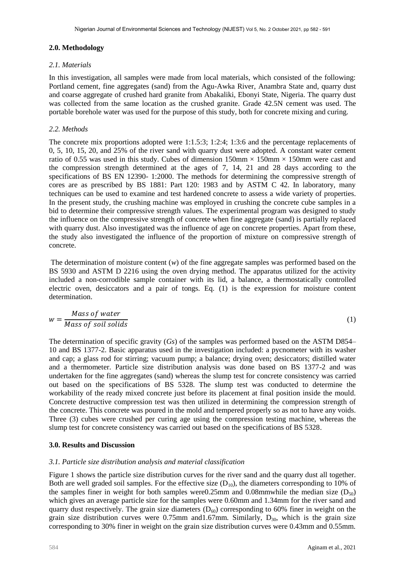#### **2.0. Methodology**

#### *2.1. Materials*

In this investigation, all samples were made from local materials, which consisted of the following: Portland cement, fine aggregates (sand) from the Agu-Awka River, Anambra State and, quarry dust and coarse aggregate of crushed hard granite from Abakaliki, Ebonyi State, Nigeria. The quarry dust was collected from the same location as the crushed granite. Grade 42.5N cement was used. The portable borehole water was used for the purpose of this study, both for concrete mixing and curing.

#### *2.2. M*e*thods*

The concrete mix proportions adopted were 1:1.5:3; 1:2:4; 1:3:6 and the percentage replacements of 0, 5, 10, 15, 20, and 25% of the river sand with quarry dust were adopted. A constant water cement ratio of 0.55 was used in this study. Cubes of dimension  $150 \text{mm} \times 150 \text{mm} \times 150 \text{mm}$  were cast and the compression strength determined at the ages of 7, 14, 21 and 28 days according to the specifications of BS EN 12390- 1:2000. The methods for determining the compressive strength of cores are as prescribed by BS 1881: Part 120: 1983 and by ASTM C 42. In laboratory, many techniques can be used to examine and test hardened concrete to assess a wide variety of properties. In the present study, the crushing machine was employed in crushing the concrete cube samples in a bid to determine their compressive strength values. The experimental program was designed to study the influence on the compressive strength of concrete when fine aggregate (sand) is partially replaced with quarry dust. Also investigated was the influence of age on concrete properties. Apart from these, the study also investigated the influence of the proportion of mixture on compressive strength of concrete.

The determination of moisture content (*w*) of the fine aggregate samples was performed based on the BS 5930 and ASTM D 2216 using the oven drying method. The apparatus utilized for the activity included a non-corrodible sample container with its lid, a balance, a thermostatically controlled electric oven, desiccators and a pair of tongs. Eq. (1) is the expression for moisture content determination.

$$
w = \frac{Mass\ of\ water}{Mass\ of\ soil\ solids} \tag{1}
$$

The determination of specific gravity (*Gs*) of the samples was performed based on the ASTM D854– 10 and BS 1377-2. Basic apparatus used in the investigation included: a pycnometer with its washer and cap; a glass rod for stirring; vacuum pump; a balance; drying oven; desiccators; distilled water and a thermometer. Particle size distribution analysis was done based on BS 1377-2 and was undertaken for the fine aggregates (sand) whereas the slump test for concrete consistency was carried out based on the specifications of BS 5328. The slump test was conducted to determine the workability of the ready mixed concrete just before its placement at final position inside the mould. Concrete destructive compression test was then utilized in determining the compression strength of the concrete. This concrete was poured in the mold and tempered properly so as not to have any voids. Three (3) cubes were crushed per curing age using the compression testing machine, whereas the slump test for concrete consistency was carried out based on the specifications of BS 5328.

## **3.0. Results and Discussion**

## *3.1. Particle size distribution analysis and material classification*

Figure 1 shows the particle size distribution curves for the river sand and the quarry dust all together. Both are well graded soil samples. For the effective size  $(D_{10})$ , the diameters corresponding to 10% of the samples finer in weight for both samples were0.25mm and 0.08mmwhile the median size  $(D_{50})$ which gives an average particle size for the samples were 0.60mm and 1.34mm for the river sand and quarry dust respectively. The grain size diameters  $(D<sub>60</sub>)$  corresponding to 60% finer in weight on the grain size distribution curves were 0.75mm and 1.67mm. Similarly,  $D_{30}$ , which is the grain size corresponding to 30% finer in weight on the grain size distribution curves were 0.43mm and 0.55mm.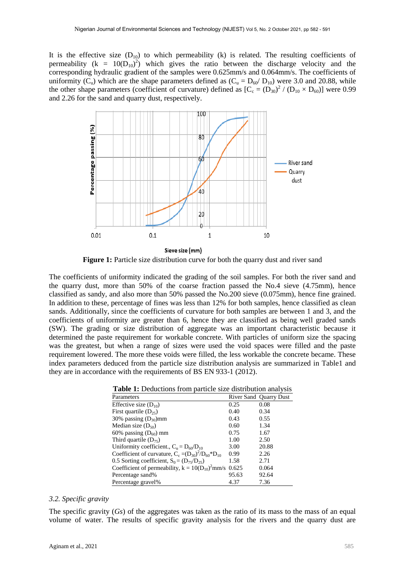It is the effective size  $(D_{10})$  to which permeability (k) is related. The resulting coefficients of permeability ( $k = 10(D_{10})^2$ ) which gives the ratio between the discharge velocity and the corresponding hydraulic gradient of the samples were 0.625mm/s and 0.064mm/s. The coefficients of uniformity  $(C_u)$  which are the shape parameters defined as  $(C_u = D_{60}/ D_{10})$  were 3.0 and 20.88, while the other shape parameters (coefficient of curvature) defined as  $[C_c = (D_{30})^2 / (D_{10} \times D_{60})]$  were 0.99 and 2.26 for the sand and quarry dust, respectively.



**Figure 1:** Particle size distribution curve for both the quarry dust and river sand

The coefficients of uniformity indicated the grading of the soil samples. For both the river sand and the quarry dust, more than 50% of the coarse fraction passed the No.4 sieve (4.75mm), hence classified as sandy, and also more than 50% passed the No.200 sieve (0.075mm), hence fine grained. In addition to these, percentage of fines was less than 12% for both samples, hence classified as clean sands. Additionally, since the coefficients of curvature for both samples are between 1 and 3, and the coefficients of uniformity are greater than 6, hence they are classified as being well graded sands (SW). The grading or size distribution of aggregate was an important characteristic because it determined the paste requirement for workable concrete. With particles of uniform size the spacing was the greatest, but when a range of sizes were used the void spaces were filled and the paste requirement lowered. The more these voids were filled, the less workable the concrete became. These index parameters deduced from the particle size distribution analysis are summarized in Table1 and they are in accordance with the requirements of BS EN 933-1 (2012).

| <b>Table 1:</b> Deductions from particle size distribution analysis |       |                               |  |  |
|---------------------------------------------------------------------|-------|-------------------------------|--|--|
| Parameters                                                          |       | <b>River Sand Quarry Dust</b> |  |  |
| Effective size $(D_{10})$                                           | 0.25  | 0.08                          |  |  |
| First quartile $(D_{25})$                                           | 0.40  | 0.34                          |  |  |
| 30% passing $(D_{30})$ mm                                           | 0.43  | 0.55                          |  |  |
| Median size $(D_{50})$                                              | 0.60  | 1.34                          |  |  |
| 60% passing $(D_{60})$ mm                                           | 0.75  | 1.67                          |  |  |
| Third quartile $(D_{75})$                                           | 1.00  | 2.50                          |  |  |
| Uniformity coefficient., $C_n = D_{60}/D_{10}$                      | 3.00  | 20.88                         |  |  |
| Coefficient of curvature, $C_c = (D_{30})^2/D_{60} D_{10}$          | 0.99  | 2.26                          |  |  |
| 0.5 Sorting coefficient, $S_0 = (D_{75}/D_{25})$                    | 1.58  | 2.71                          |  |  |
| Coefficient of permeability, $k = 10(D_{10})^2$ mm/s 0.625          |       | 0.064                         |  |  |
| Percentage sand%                                                    | 95.63 | 92.64                         |  |  |
| Percentage gravel%                                                  | 4.37  | 7.36                          |  |  |

**Table 1:** Deductions from particle size distribution analysis

#### *3.2. Specific gravity*

The specific gravity (*Gs*) of the aggregates was taken as the ratio of its mass to the mass of an equal volume of water. The results of specific gravity analysis for the rivers and the quarry dust are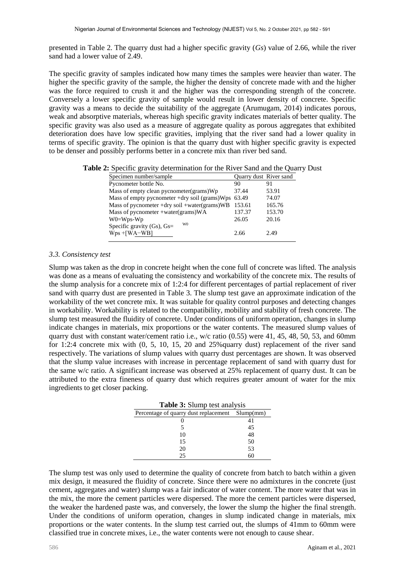presented in Table 2. The quarry dust had a higher specific gravity (*Gs*) value of 2.66, while the river sand had a lower value of  $2.49$ .

The specific gravity of samples indicated how many times the samples were heavier than water. The higher the specific gravity of the sample, the higher the density of concrete made with and the higher was the force required to crush it and the higher was the corresponding strength of the concrete. Conversely a lower specific gravity of sample would result in lower density of concrete. Specific gravity was a means to decide the suitability of the aggregate (Arumugam, 2014) indicates porous, weak and absorptive materials, whereas high specific gravity indicates materials of better quality. The specific gravity was also used as a measure of aggregate quality as porous aggregates that exhibited deterioration does have low specific gravities, implying that the river sand had a lower quality in terms of specific gravity. The opinion is that the quarry dust with higher specific gravity is expected to be denser and possibly performs better in a concrete mix than river bed sand.

**Table 2:** Specific gravity determination for the River Sand and the Quarry Dust

| Specimen number/sample                            | <b>Ouarry dust River sand</b> |        |
|---------------------------------------------------|-------------------------------|--------|
| Pycnometer bottle No.                             | 90                            | 91     |
| Mass of empty clean pycnometer (grams) Wp         | 37.44                         | 53.91  |
| Mass of empty pycnometer +dry soil (grams)Wps     | 63.49                         | 74.07  |
| Mass of pycnometer +dry soil +water(grams)WB      | 153.61                        | 165.76 |
| Mass of pycnometer +water(grams)WA                | 137.37                        | 153.70 |
| $W0 = Wps-Wp$                                     | 26.05                         | 20.16  |
| W <sub>0</sub><br>Specific gravity $(Gs)$ , $Gs=$ |                               |        |
| $Wps + [WA-WB]$                                   | 2.66                          | 2.49   |
|                                                   |                               |        |

## *3.3. Consistency test*

Slump was taken as the drop in concrete height when the cone full of concrete was lifted. The analysis was done as a means of evaluating the consistency and workability of the concrete mix. The results of the slump analysis for a concrete mix of 1:2:4 for different percentages of partial replacement of river sand with quarry dust are presented in Table 3. The slump test gave an approximate indication of the workability of the wet concrete mix. It was suitable for quality control purposes and detecting changes in workability. Workability is related to the compatibility, mobility and stability of fresh concrete. The slump test measured the fluidity of concrete. Under conditions of uniform operation, changes in slump indicate changes in materials, mix proportions or the water contents. The measured slump values of quarry dust with constant water/cement ratio i.e., w/c ratio (0.55) were 41, 45, 48, 50, 53, and 60mm for 1:2:4 concrete mix with (0, 5, 10, 15, 20 and 25%quarry dust) replacement of the river sand respectively. The variations of slump values with quarry dust percentages are shown. It was observed that the slump value increases with increase in percentage replacement of sand with quarry dust for the same w/c ratio. A significant increase was observed at 25% replacement of quarry dust. It can be attributed to the extra fineness of quarry dust which requires greater amount of water for the mix ingredients to get closer packing.

| <b>Table 3:</b> Slump test analysis             |    |  |  |  |
|-------------------------------------------------|----|--|--|--|
| Percentage of quarry dust replacement Slump(mm) |    |  |  |  |
|                                                 |    |  |  |  |
|                                                 | 45 |  |  |  |
| 10                                              | 48 |  |  |  |
| 15                                              | 50 |  |  |  |
| 20                                              | 53 |  |  |  |
| 25                                              |    |  |  |  |

The slump test was only used to determine the quality of concrete from batch to batch within a given mix design, it measured the fluidity of concrete. Since there were no admixtures in the concrete (just cement, aggregates and water) slump was a fair indicator of water content. The more water that was in the mix, the more the cement particles were dispersed. The more the cement particles were dispersed, the weaker the hardened paste was, and conversely, the lower the slump the higher the final strength. Under the conditions of uniform operation, changes in slump indicated change in materials, mix proportions or the water contents. In the slump test carried out, the slumps of 41mm to 60mm were classified true in concrete mixes, i.e., the water contents were not enough to cause shear.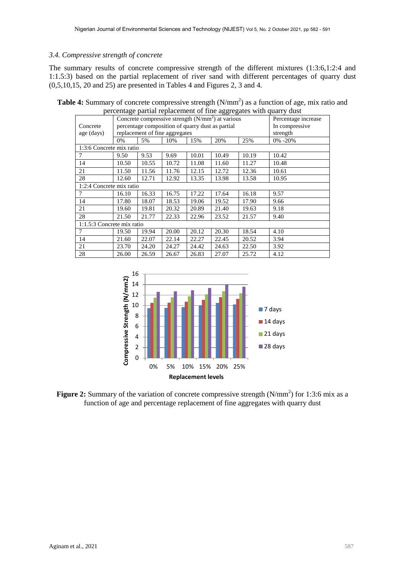## *3.4. Compressive strength of concrete*

The summary results of concrete compressive strength of the different mixtures (1:3:6,1:2:4 and 1:1.5:3) based on the partial replacement of river sand with different percentages of quarry dust (0,5,10,15, 20 and 25) are presented in Tables 4 and Figures 2, 3 and 4.

| percentage partial replacement of this aggregates while quarty dust |                                                               |       |       |       |                     |                |              |
|---------------------------------------------------------------------|---------------------------------------------------------------|-------|-------|-------|---------------------|----------------|--------------|
|                                                                     | Concrete compressive strength (N/mm <sup>2</sup> ) at various |       |       |       | Percentage increase |                |              |
| Concrete                                                            | percentage composition of quarry dust as partial              |       |       |       |                     | In compressive |              |
| age (days)                                                          | replacement of fine aggregates                                |       |       |       | strength            |                |              |
|                                                                     | 0%                                                            | 5%    | 10%   | 15%   | 20%                 | 25%            | $0\% - 20\%$ |
| 1:3:6 Concrete mix ratio                                            |                                                               |       |       |       |                     |                |              |
| 7                                                                   | 9.50                                                          | 9.53  | 9.69  | 10.01 | 10.49               | 10.19          | 10.42        |
| 14                                                                  | 10.50                                                         | 10.55 | 10.72 | 11.08 | 11.60               | 11.27          | 10.48        |
| 21                                                                  | 11.50                                                         | 11.56 | 11.76 | 12.15 | 12.72               | 12.36          | 10.61        |
| 28                                                                  | 12.60                                                         | 12.71 | 12.92 | 13.35 | 13.98               | 13.58          | 10.95        |
| 1:2:4 Concrete mix ratio                                            |                                                               |       |       |       |                     |                |              |
| 7                                                                   | 16.10                                                         | 16.33 | 16.75 | 17.22 | 17.64               | 16.18          | 9.57         |
| 14                                                                  | 17.80                                                         | 18.07 | 18.53 | 19.06 | 19.52               | 17.90          | 9.66         |
| 21                                                                  | 19.60                                                         | 19.81 | 20.32 | 20.89 | 21.40               | 19.63          | 9.18         |
| 28                                                                  | 21.50                                                         | 21.77 | 22.33 | 22.96 | 23.52               | 21.57          | 9.40         |
| 1:1.5:3 Concrete mix ratio                                          |                                                               |       |       |       |                     |                |              |
| 7                                                                   | 19.50                                                         | 19.94 | 20.00 | 20.12 | 20.30               | 18.54          | 4.10         |
| 14                                                                  | 21.60                                                         | 22.07 | 22.14 | 22.27 | 22.45               | 20.52          | 3.94         |
| 21                                                                  | 23.70                                                         | 24.20 | 24.27 | 24.42 | 24.63               | 22.50          | 3.92         |
| 28                                                                  | 26.00                                                         | 26.59 | 26.67 | 26.83 | 27.07               | 25.72          | 4.12         |

**Table 4:** Summary of concrete compressive strength (N/mm<sup>2</sup>) as a function of age, mix ratio and percentage partial replacement of fine aggregates with quarry dust



Figure 2: Summary of the variation of concrete compressive strength (N/mm<sup>2</sup>) for 1:3:6 mix as a function of age and percentage replacement of fine aggregates with quarry dust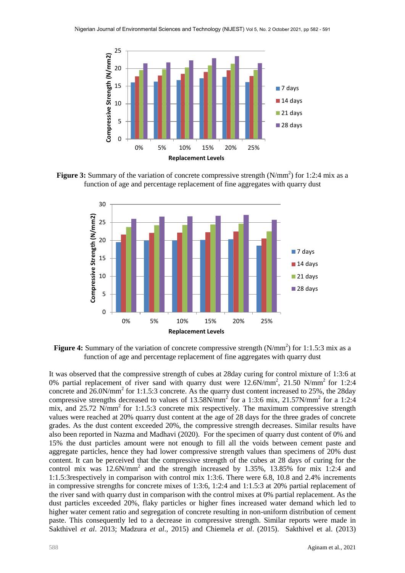

**Figure 3:** Summary of the variation of concrete compressive strength  $(N/mm<sup>2</sup>)$  for 1:2:4 mix as a function of age and percentage replacement of fine aggregates with quarry dust



Figure 4: Summary of the variation of concrete compressive strength (N/mm<sup>2</sup>) for 1:1.5:3 mix as a function of age and percentage replacement of fine aggregates with quarry dust

It was observed that the compressive strength of cubes at 28day curing for control mixture of 1:3:6 at 0% partial replacement of river sand with quarry dust were  $12.6N/mm^2$ ,  $21.50 N/mm^2$  for 1:2:4 concrete and  $26.0$ N/mm<sup>2</sup> for 1:1.5:3 concrete. As the quarry dust content increased to 25%, the 28day compressive strengths decreased to values of  $13.58N/mm^2$  for a 1:3:6 mix, 21.57N/mm<sup>2</sup> for a 1:2:4 mix, and  $25.72$  N/mm<sup>2</sup> for 1:1.5:3 concrete mix respectively. The maximum compressive strength values were reached at 20% quarry dust content at the age of 28 days for the three grades of concrete grades. As the dust content exceeded 20%, the compressive strength decreases. Similar results have also been reported in Nazma and Madhavi (2020). For the specimen of quarry dust content of 0% and 15% the dust particles amount were not enough to fill all the voids between cement paste and aggregate particles, hence they had lower compressive strength values than specimens of 20% dust content. It can be perceived that the compressive strength of the cubes at 28 days of curing for the control mix was  $12.6N/mm^2$  and the strength increased by 1.35%, 13.85% for mix 1:2:4 and 1:1.5:3respectively in comparison with control mix 1:3:6. There were 6.8, 10.8 and 2.4% increments in compressive strengths for concrete mixes of 1:3:6, 1:2:4 and 1:1.5:3 at 20% partial replacement of the river sand with quarry dust in comparison with the control mixes at 0% partial replacement. As the dust particles exceeded 20%, flaky particles or higher fines increased water demand which led to higher water cement ratio and segregation of concrete resulting in non-uniform distribution of cement paste. This consequently led to a decrease in compressive strength. Similar reports were made in Sakthivel *et al*. 2013; Madzura *et al*., 2015) and Chiemela *et al*. (2015). Sakthivel et al. (2013)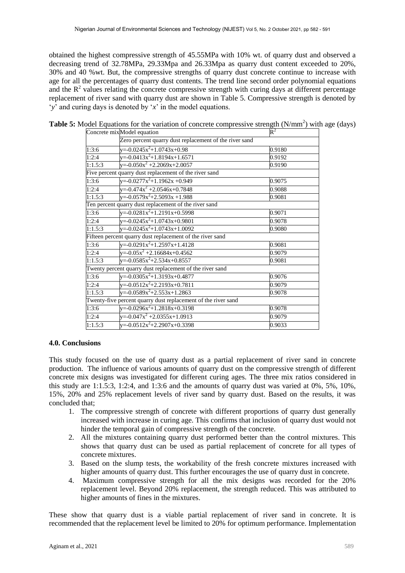obtained the highest compressive strength of 45.55MPa with 10% wt. of quarry dust and observed a decreasing trend of 32.78MPa, 29.33Mpa and 26.33Mpa as quarry dust content exceeded to 20%, 30% and 40 %wt. But, the compressive strengths of quarry dust concrete continue to increase with age for all the percentages of quarry dust contents. The trend line second order polynomial equations and the  $R<sup>2</sup>$  values relating the concrete compressive strength with curing days at different percentage replacement of river sand with quarry dust are shown in Table 5. Compressive strength is denoted by '*y*' and curing days is denoted by '*x*' in the model equations.

|         | Concrete mixModel equation                                    | $\mathbf{R}^2$ |  |  |  |  |
|---------|---------------------------------------------------------------|----------------|--|--|--|--|
|         | Zero percent quarry dust replacement of the river sand        |                |  |  |  |  |
| 1:3:6   | y=-0.0245x <sup>2</sup> +1.0743x+0.98<br>0.9180               |                |  |  |  |  |
| 1:2:4   | y=-0.0413x <sup>2</sup> +1.8194x+1.6571                       | 0.9192         |  |  |  |  |
| 1:1.5:3 | y=-0.050x <sup>2</sup> +2.2069x+2.0057<br>0.9190              |                |  |  |  |  |
|         | Five percent quarry dust replacement of the river sand        |                |  |  |  |  |
| 1:3:6   | y=-0.0277x <sup>2</sup> +1.1962x +0.949                       | 0.9075         |  |  |  |  |
| 1:2:4   | y=-0.474x <sup>2</sup> +2.0546x+0.7848                        | 0.9088         |  |  |  |  |
| 1:1.5:3 | y=-0.0579x <sup>2</sup> +2.5093x +1.988<br>0.9081             |                |  |  |  |  |
|         | Ten percent quarry dust replacement of the river sand         |                |  |  |  |  |
| 1:3:6   | y=-0.0281x <sup>2</sup> +1.2191x+0.5998                       | 0.9071         |  |  |  |  |
| 1:2:4   | $y=0.0245x^2+1.0743x+0.9801$                                  | 0.9078         |  |  |  |  |
| 1:1.5:3 | y=-0.0245x <sup>2</sup> +1.0743x+1.0092                       | 0.9080         |  |  |  |  |
|         | Fifteen percent quarry dust replacement of the river sand     |                |  |  |  |  |
| 1:3:6   | y=-0.0291x <sup>2</sup> +1.2597x+1.4128                       | 0.9081         |  |  |  |  |
| 1:2:4   | $y=0.05x^2+2.16684x+0.4562$                                   | 0.9079         |  |  |  |  |
| 1:1.5:3 | $y=0.0585x^2+2.534x+0.8557$<br>0.9081                         |                |  |  |  |  |
|         | Twenty percent quarry dust replacement of the river sand      |                |  |  |  |  |
| 1:3:6   | y=-0.0305x <sup>2</sup> +1.3193x+0.4877                       | 0.9076         |  |  |  |  |
| 1:2:4   | y=-0.0512x <sup>2</sup> +2.2193x+0.7811                       | 0.9079         |  |  |  |  |
| 1:1.5:3 | y=-0.0589x <sup>2</sup> +2.553x+1.2863<br>0.9078              |                |  |  |  |  |
|         | Twenty-five percent quarry dust replacement of the river sand |                |  |  |  |  |
| 1:3:6   | y=-0.0296x <sup>2</sup> +1.2818x+0.3198                       | 0.9078         |  |  |  |  |
| 1:2:4   | y=-0.047x <sup>2</sup> +2.0355x+1.0913                        | 0.9079         |  |  |  |  |
| 1:1.5:3 | y=-0.0512x <sup>2</sup> +2.2907x+0.3398                       | 0.9033         |  |  |  |  |

**Table 5:** Model Equations for the variation of concrete compressive strength (N/mm<sup>2</sup>) with age (days)

#### **4.0. Conclusions**

This study focused on the use of quarry dust as a partial replacement of river sand in concrete production. The influence of various amounts of quarry dust on the compressive strength of different concrete mix designs was investigated for different curing ages. The three mix ratios considered in this study are 1:1.5:3, 1:2:4, and 1:3:6 and the amounts of quarry dust was varied at  $0\%$ ,  $5\%$ ,  $10\%$ , 15%, 20% and 25% replacement levels of river sand by quarry dust. Based on the results, it was concluded that;

- 1. The compressive strength of concrete with different proportions of quarry dust generally increased with increase in curing age. This confirms that inclusion of quarry dust would not hinder the temporal gain of compressive strength of the concrete.
- 2. All the mixtures containing quarry dust performed better than the control mixtures. This shows that quarry dust can be used as partial replacement of concrete for all types of concrete mixtures.
- 3. Based on the slump tests, the workability of the fresh concrete mixtures increased with higher amounts of quarry dust. This further encourages the use of quarry dust in concrete.
- 4. Maximum compressive strength for all the mix designs was recorded for the 20% replacement level. Beyond 20% replacement, the strength reduced. This was attributed to higher amounts of fines in the mixtures.

These show that quarry dust is a viable partial replacement of river sand in concrete. It is recommended that the replacement level be limited to 20% for optimum performance. Implementation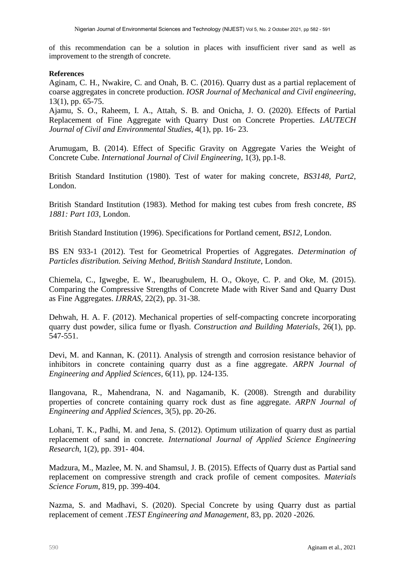of this recommendation can be a solution in places with insufficient river sand as well as improvement to the strength of concrete.

## **References**

Aginam, C. H., Nwakire, C. and Onah, B. C. (2016). Quarry dust as a partial replacement of coarse aggregates in concrete production. *IOSR Journal of Mechanical and Civil engineering*, 13(1), pp. 65-75.

Ajamu, S. O., Raheem, I. A., Attah, S. B. and Onicha, J. O. (2020). Effects of Partial Replacement of Fine Aggregate with Quarry Dust on Concrete Properties. *LAUTECH Journal of Civil and Environmental Studies*, 4(1), pp. 16- 23.

Arumugam, B. (2014). Effect of Specific Gravity on Aggregate Varies the Weight of Concrete Cube. *International Journal of Civil Engineering*, 1(3), pp.1-8.

British Standard Institution (1980). Test of water for making concrete, *BS3148, Part2*, London.

British Standard Institution (1983). Method for making test cubes from fresh concrete*, BS 1881: Part 103,* London.

British Standard Institution (1996). Specifications for Portland cement, *BS12*, London.

BS EN 933-1 (2012). Test for Geometrical Properties of Aggregates. *Determination of Particles distribution. Seiving Method, British Standard Institute*, London.

Chiemela, C., Igwegbe, E. W., Ibearugbulem, H. O., Okoye, C. P. and Oke, M. (2015). Comparing the Compressive Strengths of Concrete Made with River Sand and Quarry Dust as Fine Aggregates. *IJRRAS,* 22(2), pp. 31-38.

Dehwah, H. A. F. (2012). Mechanical properties of self-compacting concrete incorporating quarry dust powder, silica fume or flyash. *Construction and Building Materials*, 26(1), pp. 547-551.

Devi, M. and Kannan, K. (2011). Analysis of strength and corrosion resistance behavior of inhibitors in concrete containing quarry dust as a fine aggregate. *ARPN Journal of Engineering and Applied Sciences,* 6(11), pp. 124-135.

Ilangovana, R., Mahendrana, N. and Nagamanib, K. (2008). Strength and durability properties of concrete containing quarry rock dust as fine aggregate. *ARPN Journal of Engineering and Applied Sciences*, 3(5), pp. 20-26.

Lohani, T. K., Padhi, M. and Jena, S. (2012). Optimum utilization of quarry dust as partial replacement of sand in concrete*. International Journal of Applied Science Engineering Research*, 1(2), pp. 391- 404.

Madzura, M., Mazlee, M. N. and Shamsul, J. B. (2015). Effects of Quarry dust as Partial sand replacement on compressive strength and crack profile of cement composites. *Materials Science Forum*, 819, pp. 399-404.

Nazma, S. and Madhavi, S. (2020). Special Concrete by using Quarry dust as partial replacement of cement .*TEST Engineering and Management*, 83, pp. 2020 -2026.